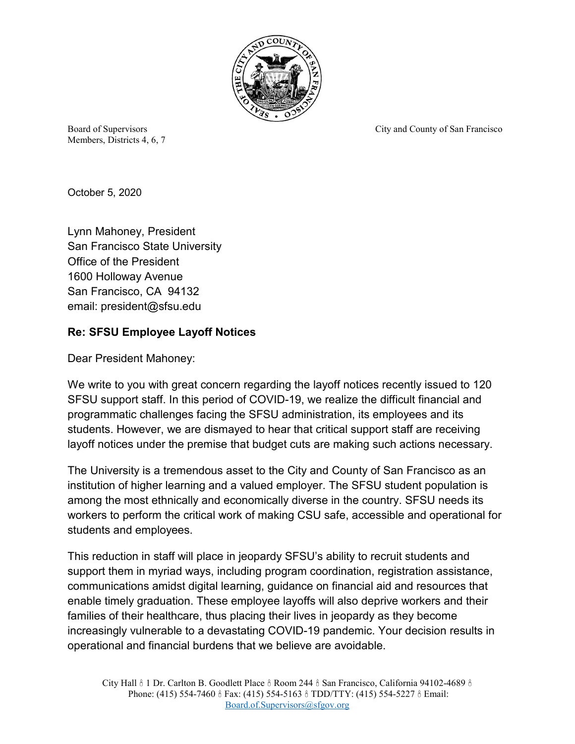

Members, Districts 4, 6, 7

Board of Supervisors City and County of San Francisco

October 5, 2020

Lynn Mahoney, President San Francisco State University Office of the President 1600 Holloway Avenue San Francisco, CA 94132 email: president@sfsu.edu

## **Re: SFSU Employee Layoff Notices**

Dear President Mahoney:

We write to you with great concern regarding the layoff notices recently issued to 120 SFSU support staff. In this period of COVID-19, we realize the difficult financial and programmatic challenges facing the SFSU administration, its employees and its students. However, we are dismayed to hear that critical support staff are receiving layoff notices under the premise that budget cuts are making such actions necessary.

The University is a tremendous asset to the City and County of San Francisco as an institution of higher learning and a valued employer. The SFSU student population is among the most ethnically and economically diverse in the country. SFSU needs its workers to perform the critical work of making CSU safe, accessible and operational for students and employees.

This reduction in staff will place in jeopardy SFSU's ability to recruit students and support them in myriad ways, including program coordination, registration assistance, communications amidst digital learning, guidance on financial aid and resources that enable timely graduation. These employee layoffs will also deprive workers and their families of their healthcare, thus placing their lives in jeopardy as they become increasingly vulnerable to a devastating COVID-19 pandemic. Your decision results in operational and financial burdens that we believe are avoidable.